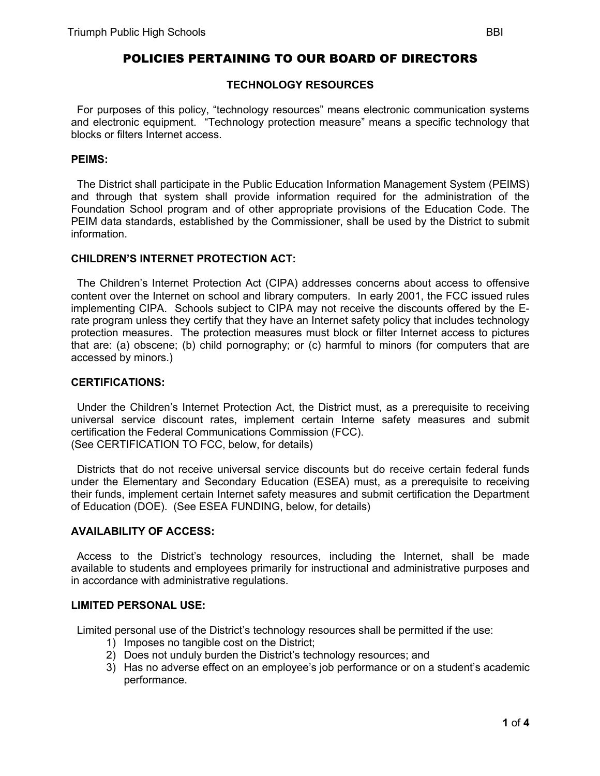# POLICIES PERTAINING TO OUR BOARD OF DIRECTORS

## **TECHNOLOGY RESOURCES**

 For purposes of this policy, "technology resources" means electronic communication systems and electronic equipment. "Technology protection measure" means a specific technology that blocks or filters Internet access.

### **PEIMS:**

 The District shall participate in the Public Education Information Management System (PEIMS) and through that system shall provide information required for the administration of the Foundation School program and of other appropriate provisions of the Education Code. The PEIM data standards, established by the Commissioner, shall be used by the District to submit information.

# **CHILDREN'S INTERNET PROTECTION ACT:**

 The Children's Internet Protection Act (CIPA) addresses concerns about access to offensive content over the Internet on school and library computers. In early 2001, the FCC issued rules implementing CIPA. Schools subject to CIPA may not receive the discounts offered by the Erate program unless they certify that they have an Internet safety policy that includes technology protection measures. The protection measures must block or filter Internet access to pictures that are: (a) obscene; (b) child pornography; or (c) harmful to minors (for computers that are accessed by minors.)

## **CERTIFICATIONS:**

 Under the Children's Internet Protection Act, the District must, as a prerequisite to receiving universal service discount rates, implement certain Interne safety measures and submit certification the Federal Communications Commission (FCC). (See CERTIFICATION TO FCC, below, for details)

 Districts that do not receive universal service discounts but do receive certain federal funds under the Elementary and Secondary Education (ESEA) must, as a prerequisite to receiving their funds, implement certain Internet safety measures and submit certification the Department of Education (DOE). (See ESEA FUNDING, below, for details)

# **AVAILABILITY OF ACCESS:**

 Access to the District's technology resources, including the Internet, shall be made available to students and employees primarily for instructional and administrative purposes and in accordance with administrative regulations.

#### **LIMITED PERSONAL USE:**

Limited personal use of the District's technology resources shall be permitted if the use:

- 1) Imposes no tangible cost on the District;
- 2) Does not unduly burden the District's technology resources; and
- 3) Has no adverse effect on an employee's job performance or on a student's academic performance.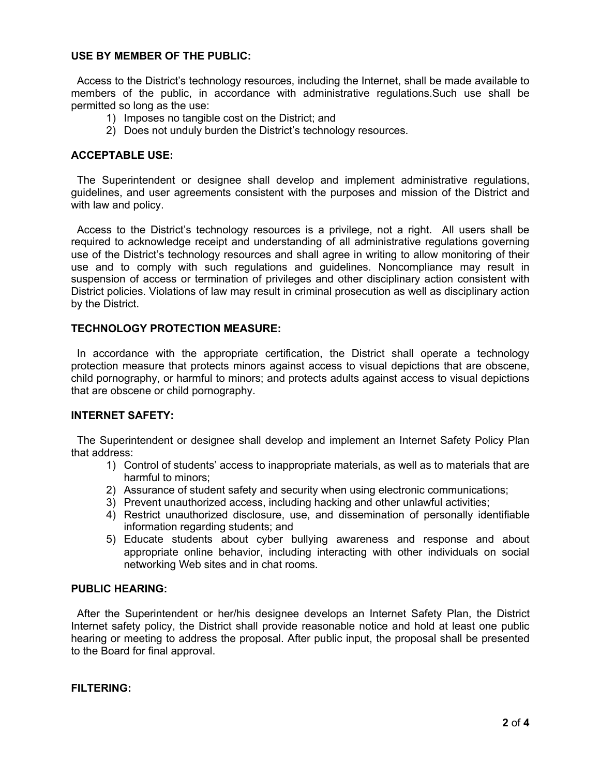# **USE BY MEMBER OF THE PUBLIC:**

 Access to the District's technology resources, including the Internet, shall be made available to members of the public, in accordance with administrative regulations.Such use shall be permitted so long as the use:

- 1) Imposes no tangible cost on the District; and
- 2) Does not unduly burden the District's technology resources.

## **ACCEPTABLE USE:**

 The Superintendent or designee shall develop and implement administrative regulations, guidelines, and user agreements consistent with the purposes and mission of the District and with law and policy.

 Access to the District's technology resources is a privilege, not a right. All users shall be required to acknowledge receipt and understanding of all administrative regulations governing use of the District's technology resources and shall agree in writing to allow monitoring of their use and to comply with such regulations and guidelines. Noncompliance may result in suspension of access or termination of privileges and other disciplinary action consistent with District policies. Violations of law may result in criminal prosecution as well as disciplinary action by the District.

#### **TECHNOLOGY PROTECTION MEASURE:**

In accordance with the appropriate certification, the District shall operate a technology protection measure that protects minors against access to visual depictions that are obscene, child pornography, or harmful to minors; and protects adults against access to visual depictions that are obscene or child pornography.

## **INTERNET SAFETY:**

 The Superintendent or designee shall develop and implement an Internet Safety Policy Plan that address:

- 1) Control of students' access to inappropriate materials, as well as to materials that are harmful to minors;
- 2) Assurance of student safety and security when using electronic communications;
- 3) Prevent unauthorized access, including hacking and other unlawful activities;
- 4) Restrict unauthorized disclosure, use, and dissemination of personally identifiable information regarding students; and
- 5) Educate students about cyber bullying awareness and response and about appropriate online behavior, including interacting with other individuals on social networking Web sites and in chat rooms.

# **PUBLIC HEARING:**

 After the Superintendent or her/his designee develops an Internet Safety Plan, the District Internet safety policy, the District shall provide reasonable notice and hold at least one public hearing or meeting to address the proposal. After public input, the proposal shall be presented to the Board for final approval.

#### **FILTERING:**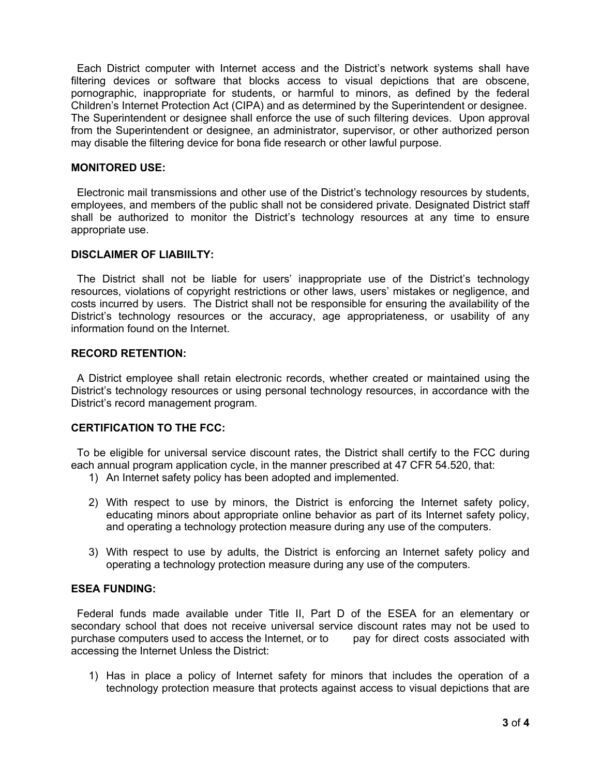Each District computer with Internet access and the District's network systems shall have filtering devices or software that blocks access to visual depictions that are obscene, pornographic, inappropriate for students, or harmful to minors, as defined by the federal Children's Internet Protection Act (CIPA) and as determined by the Superintendent or designee. The Superintendent or designee shall enforce the use of such filtering devices. Upon approval from the Superintendent or designee, an administrator, supervisor, or other authorized person may disable the filtering device for bona fide research or other lawful purpose.

## **MONITORED USE:**

 Electronic mail transmissions and other use of the District's technology resources by students, employees, and members of the public shall not be considered private. Designated District staff shall be authorized to monitor the District's technology resources at any time to ensure appropriate use.

#### **DISCLAIMER OF LIABIILTY:**

 The District shall not be liable for users' inappropriate use of the District's technology resources, violations of copyright restrictions or other laws, users' mistakes or negligence, and costs incurred by users. The District shall not be responsible for ensuring the availability of the District's technology resources or the accuracy, age appropriateness, or usability of any information found on the Internet.

#### **RECORD RETENTION:**

 A District employee shall retain electronic records, whether created or maintained using the District's technology resources or using personal technology resources, in accordance with the District's record management program.

## **CERTIFICATION TO THE FCC:**

 To be eligible for universal service discount rates, the District shall certify to the FCC during each annual program application cycle, in the manner prescribed at 47 CFR 54.520, that:

- 1) An Internet safety policy has been adopted and implemented.
- 2) With respect to use by minors, the District is enforcing the Internet safety policy, educating minors about appropriate online behavior as part of its Internet safety policy, and operating a technology protection measure during any use of the computers.
- 3) With respect to use by adults, the District is enforcing an Internet safety policy and operating a technology protection measure during any use of the computers.

## **ESEA FUNDING:**

 Federal funds made available under Title II, Part D of the ESEA for an elementary or secondary school that does not receive universal service discount rates may not be used to purchase computers used to access the Internet, or to pay for direct costs associated with accessing the Internet Unless the District:

1) Has in place a policy of Internet safety for minors that includes the operation of a technology protection measure that protects against access to visual depictions that are